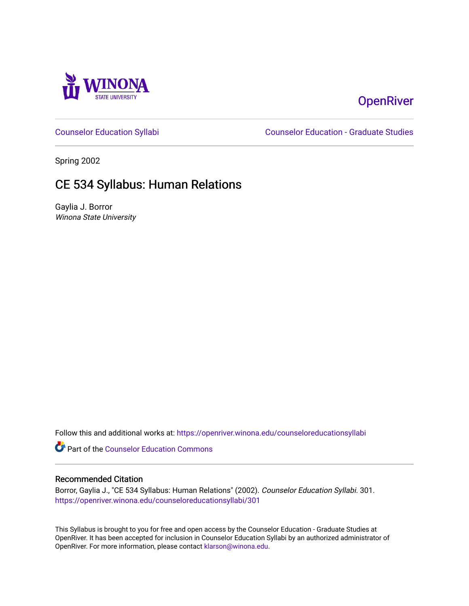

# **OpenRiver**

[Counselor Education Syllabi](https://openriver.winona.edu/counseloreducationsyllabi) [Counselor Education - Graduate Studies](https://openriver.winona.edu/counseloreducation) 

Spring 2002

# CE 534 Syllabus: Human Relations

Gaylia J. Borror Winona State University

Follow this and additional works at: [https://openriver.winona.edu/counseloreducationsyllabi](https://openriver.winona.edu/counseloreducationsyllabi?utm_source=openriver.winona.edu%2Fcounseloreducationsyllabi%2F301&utm_medium=PDF&utm_campaign=PDFCoverPages)

Part of the [Counselor Education Commons](http://network.bepress.com/hgg/discipline/1278?utm_source=openriver.winona.edu%2Fcounseloreducationsyllabi%2F301&utm_medium=PDF&utm_campaign=PDFCoverPages) 

### Recommended Citation

Borror, Gaylia J., "CE 534 Syllabus: Human Relations" (2002). Counselor Education Syllabi. 301. [https://openriver.winona.edu/counseloreducationsyllabi/301](https://openriver.winona.edu/counseloreducationsyllabi/301?utm_source=openriver.winona.edu%2Fcounseloreducationsyllabi%2F301&utm_medium=PDF&utm_campaign=PDFCoverPages)

This Syllabus is brought to you for free and open access by the Counselor Education - Graduate Studies at OpenRiver. It has been accepted for inclusion in Counselor Education Syllabi by an authorized administrator of OpenRiver. For more information, please contact [klarson@winona.edu](mailto:klarson@winona.edu).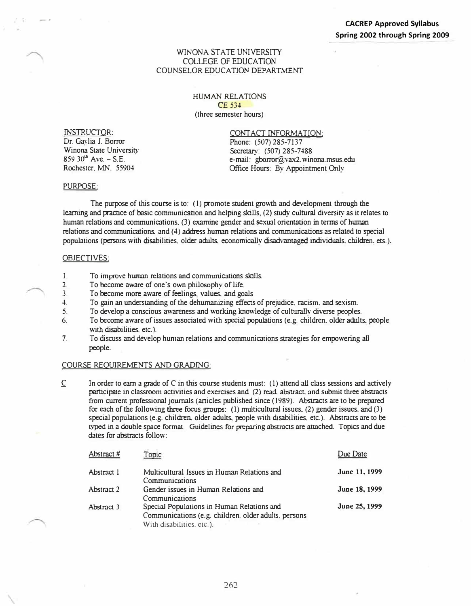### WINONA STATE UNIVERSITY COLLEGE OF EDUCATION COUNSELOR EDUCATION DEPARTMENT

### HUMAN RELATIONS CE 534 (three semester hours)

INSTRUCTOR:

...- ,.

Dr. Gaylia J. Borror Winona State University  $859$  30<sup>th</sup> Ave. - S.E. Rochester. MN\_ 55904

CONTACT INFORMATION: Phone: (507) 285-7137 Secretary: (507) 285-7488 e-mail: gborror@vax2.winona.msus.edu Office Hours: By Appointment Only

#### PURPOSE:

The purpose of this course is to: (1) promote student growth and development through the learning and practice of basic communication and helping skills. (2) study cultural diversity as it relates to human relations and communications. (3) examine gender and sexual orientation in terms of human relations and communications. and ( 4) address human relations and communications as related to special populations (persons with disabilities. older adults. economically disadvantaged individuals. children. ets.).

### OBJECTIVES:

- I. To improve human relations and communications skills.<br>
2. To become aware of one's own philosophy of life.
- To become aware of one's own philosophy of life.
- 3. To become more aware of feelings. values. and goals
- **4.** To gain an understanding of the dehumanizing effects of prejudice. racism. and sexism.
- 5. To develop a conscious awareness and working knowledge of culturally diverse peoples.
- 6. To become aware of issues associated with special populations (e.g. children. older adults. people with disabilities. etc.).
- 7. To discuss and de<sup>v</sup> elop hun1an relations and communications strategies for empowering all people.

#### COURSE REQUIREMENTS AND GRADING:

 $\mathbb C$  In order to earn a grade of C in this course students must: (1) attend all class sessions and actively participate in classroom activities and exercises and (2) read. abstract and submit three abstracts from current professional journals (articles published since ( 1989). Abstracts are to be prepared for each of the following three focus groups: (1) multicultural issues. (2) gender issues. and (3) special populations (e.g. children. older adults, people with disabilities, etc.). Abstracts are to be typed in a double space format\_ Guidelines for preparing abstracts are attached. Topics and due dates for abstracts follow:

| Abstract # | Topic                                                                                                                           | Due Date      |
|------------|---------------------------------------------------------------------------------------------------------------------------------|---------------|
| Abstract I | Multicultural Issues in Human Relations and<br>Communications                                                                   | June 11, 1999 |
| Abstract 2 | Gender issues in Human Relations and<br>Communications                                                                          | June 18, 1999 |
| Abstract 3 | Special Populations in Human Relations and<br>Communications (e.g. children, older adults, persons<br>With disabilities, etc.). | June 25, 1999 |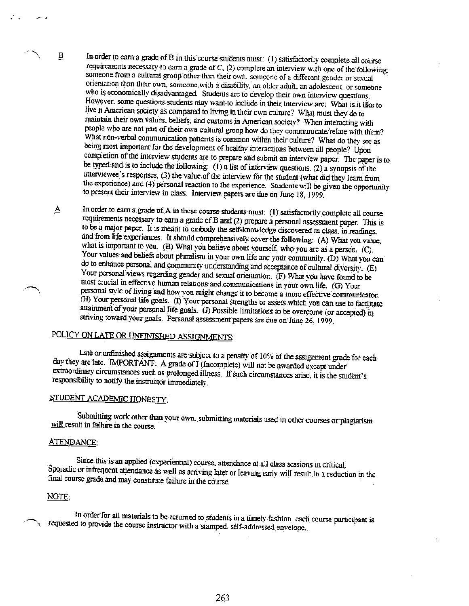In order to earn a grade of B in this course students must: (1) satisfactorily complete all course requirements necessary to carn a grade of C. (2) complete an interview with one of the following: someone from a cultural group other than their own, someone of a different gender or sexual orientation than their own, someone with a disability, an older adult, an adolescent, or someone who is economically disadvantaged. Students are to develop their own interview questions. However, some questions students may want to include in their interview are: What is it like to live n American society as compared to living in their own culture? What must they do to maintain their own values, beliefs, and customs in American society? When interacting with people who are not part of their own cultural group how do they communicate/relate with them? What non-verbal communication patterns is common within their culture? What do they see as being most important for the development of healthy interactions between all people? Upon completion of the interview students are to prepare and submit an interview paper. The paper is to be typed and is to include the following:  $(1)$  a list of interview questions.  $(2)$  a synopsis of the interviewee's responses, (3) the value of the interview for the student (what did they learn from the experience) and (4) personal reaction to the experience. Students will be given the opportunity to present their interview in class. Interview papers are due on June 18, 1999.

In order to earn a grade of A in these course students must: (1) satisfactorily complete all course Δ requirements necessary to earn a grade of B and (2) prepare a personal assessment paper. This is to be a major paper. It is meant to embody the self-knowledge discovered in class, in readings. and from life experiences. It should comprehensively cover the following: (A) What you value, what is important to you. (B) What you believe about yourself, who you are as a person. (C). Your values and beliefs about pluralism in your own life and your community. (D) What you can do to enhance personal and community understanding and acceptance of cultural diversity. (E) Your personal views regarding gender and sexual orientation. (F) What you have found to be most crucial in effective human relations and communications in your own life. (G) Your personal style of living and how you might change it to become a more effective communicator. (H) Your personal life goals. (I) Your personal strengths or assets which you can use to facilitate attainment of your personal life goals. (J) Possible limitations to be overcome (or accepted) in striving toward your goals. Personal assessment papers are due on June 26, 1999.

# POLICY ON LATE OR UNFINISHED ASSIGNMENTS:

Late or unfinished assignments are subject to a penalty of 10% of the assignment grade for each day they are late. IMPORTANT: A grade of I (Incomplete) will not be awarded except under extraordinary circumstances such as prolonged illness. If such circumstances arise, it is the student's responsibility to notify the instructor immediately.

# STUDENT ACADEMIC HONESTY:

Submitting work other than your own, submitting materials used in other courses or plagiarism will result in failure in the course.

### ATENDANCE:

B

Since this is an applied (experiential) course, attendance at all class sessions in critical Sporadic or infrequent attendance as well as arriving later or leaving early will result in a reduction in the final course grade and may constitute failure in the course.

### NOTE:

In order for all materials to be returned to students in a timely fashion, each course participant is requested to provide the course instructor with a stamped, self-addressed envelope.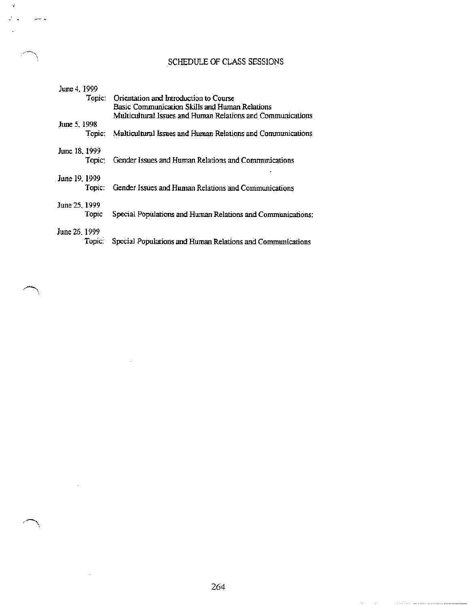# SCHEDULE OF CLASS SESSIONS

| June 4, 1999  |                                                             |
|---------------|-------------------------------------------------------------|
| Topic:        | Orientation and Introduction to Course                      |
|               | Basic Communication Skills and Human Relations              |
|               | Multicultural Issues and Human Relations and Communications |
| June 5, 1998  |                                                             |
| Topic:        | Multicultural Issues and Human Relations and Communications |
| June 18, 1999 |                                                             |
| Topic:        | Gender Issues and Human Relations and Communications        |
| June 19, 1999 |                                                             |
| Topic:        | Gender Issues and Human Relations and Communications        |
| June 25, 1999 |                                                             |
| Topic         | Special Populations and Human Relations and Communications: |
| June 26, 1999 |                                                             |
| Topic:        | Special Populations and Human Relations and Communications  |

 $\sim$ 

ä,

 $\hat{\mathbf{f}}$ 

 $\mu\bar{\nu}\bar{\nu}\nu$  .  $\bar{\omega}$ 

 $\Delta \phi_{\rm{max}}$  and  $\phi_{\rm{max}}$  are the second constraint mass mass measure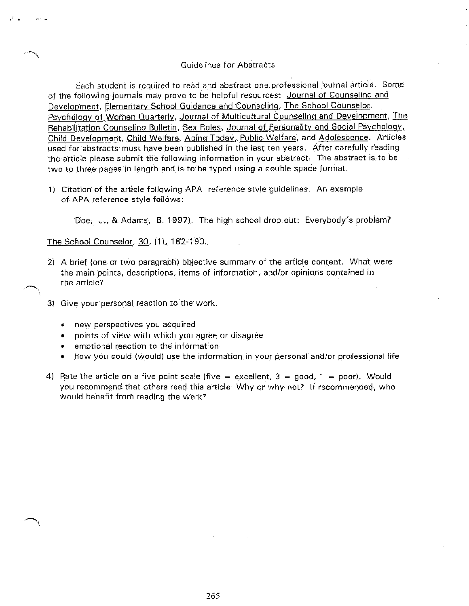### **Guidelines for Abstracts**

Each student is required to read and abstract one professional journal article. Some of the following journals may prove to be helpful resources: Journal of Counseling and Development, Elementary School Guidance and Counseling, The School Counselor, Psychology of Women Quarterly, Journal of Multicultural Counseling and Development, The Rehabilitation Counseling Bulletin, Sex Roles, Journal of Personality and Social Psychology, Child Development, Child Welfare, Aging Today, Public Welfare, and Adolescence. Articles used for abstracts must have been published in the last ten years. After carefully reading the article please submit the following information in your abstract. The abstract is to be two to three pages in length and is to be typed using a double space format.

1) Citation of the article following APA reference style guidelines. An example of APA reference style follows:

Doe, J., & Adams, B. 1997). The high school drop out: Everybody's problem?

The School Counselor, 30, (1), 182-190.

- 2) A brief (one or two paragraph) objective summary of the article content. What were the main points, descriptions, items of information, and/or opinions contained in the article?
- 3) Give your personal reaction to the work.
	- new perspectives you acquired  $\bullet$
	- points of view with which you agree or disagree
	- emotional reaction to the information
	- how you could (would) use the information in your personal and/or professional life
- 4) Rate the article on a five point scale (five = excellent,  $3 = \text{good}$ , 1 = poor). Would you recommend that others read this article. Why or why not? If recommended, who would benefit from reading the work?